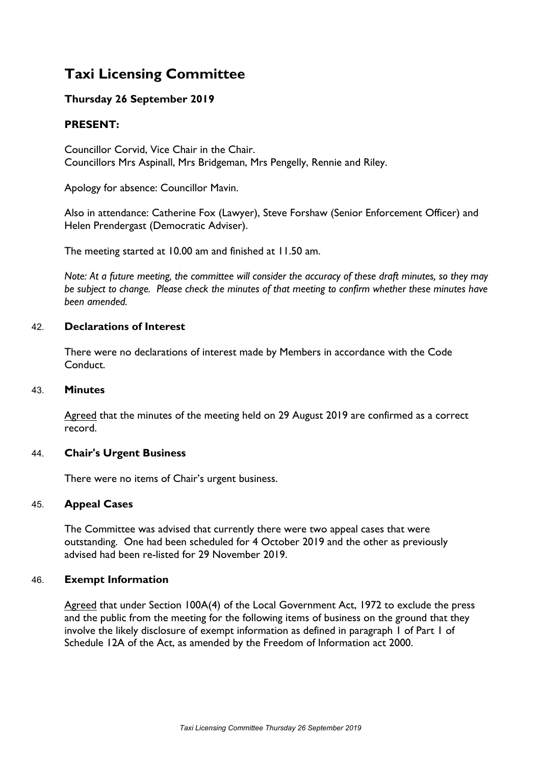# **Taxi Licensing Committee**

# **Thursday 26 September 2019**

# **PRESENT:**

Councillor Corvid, Vice Chair in the Chair. Councillors Mrs Aspinall, Mrs Bridgeman, Mrs Pengelly, Rennie and Riley.

Apology for absence: Councillor Mavin.

Also in attendance: Catherine Fox (Lawyer), Steve Forshaw (Senior Enforcement Officer) and Helen Prendergast (Democratic Adviser).

The meeting started at 10.00 am and finished at 11.50 am.

Note: At a future meeting, the committee will consider the accuracy of these draft minutes, so they may *be subject to change. Please check the minutes of that meeting to confirm whether these minutes have been amended.*

## 42. **Declarations of Interest**

There were no declarations of interest made by Members in accordance with the Code Conduct.

#### 43. **Minutes**

Agreed that the minutes of the meeting held on 29 August 2019 are confirmed as a correct record.

#### 44. **Chair's Urgent Business**

There were no items of Chair's urgent business.

#### 45. **Appeal Cases**

The Committee was advised that currently there were two appeal cases that were outstanding. One had been scheduled for 4 October 2019 and the other as previously advised had been re-listed for 29 November 2019.

#### 46. **Exempt Information**

Agreed that under Section 100A(4) of the Local Government Act, 1972 to exclude the press and the public from the meeting for the following items of business on the ground that they involve the likely disclosure of exempt information as defined in paragraph 1 of Part 1 of Schedule 12A of the Act, as amended by the Freedom of Information act 2000.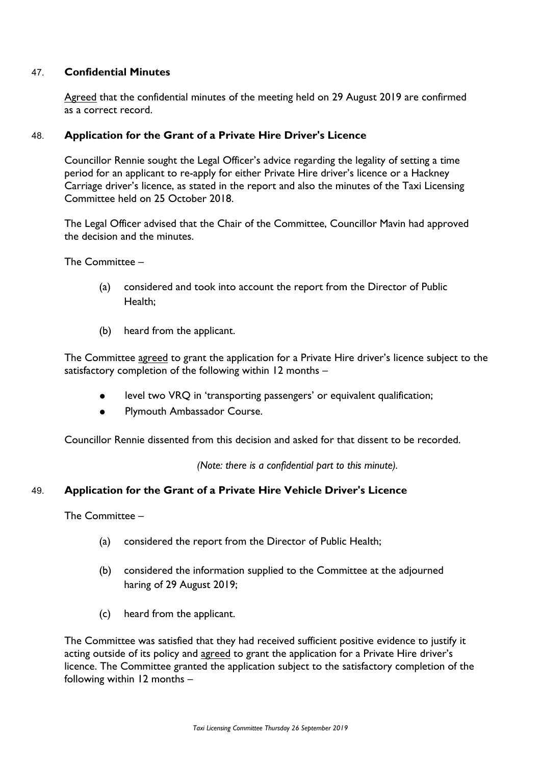# 47. **Confidential Minutes**

Agreed that the confidential minutes of the meeting held on 29 August 2019 are confirmed as a correct record.

## 48. **Application for the Grant of a Private Hire Driver's Licence**

Councillor Rennie sought the Legal Officer's advice regarding the legality of setting a time period for an applicant to re-apply for either Private Hire driver's licence or a Hackney Carriage driver's licence, as stated in the report and also the minutes of the Taxi Licensing Committee held on 25 October 2018.

The Legal Officer advised that the Chair of the Committee, Councillor Mavin had approved the decision and the minutes.

#### The Committee –

- (a) considered and took into account the report from the Director of Public Health;
- (b) heard from the applicant.

The Committee agreed to grant the application for a Private Hire driver's licence subject to the satisfactory completion of the following within 12 months –

- level two VRQ in 'transporting passengers' or equivalent qualification;
- Plymouth Ambassador Course.

Councillor Rennie dissented from this decision and asked for that dissent to be recorded.

*(Note: there is a confidential part to this minute).*

#### 49. **Application for the Grant of a Private Hire Vehicle Driver's Licence**

The Committee –

- (a) considered the report from the Director of Public Health;
- (b) considered the information supplied to the Committee at the adjourned haring of 29 August 2019;
- (c) heard from the applicant.

The Committee was satisfied that they had received sufficient positive evidence to justify it acting outside of its policy and agreed to grant the application for a Private Hire driver's licence. The Committee granted the application subject to the satisfactory completion of the following within 12 months –